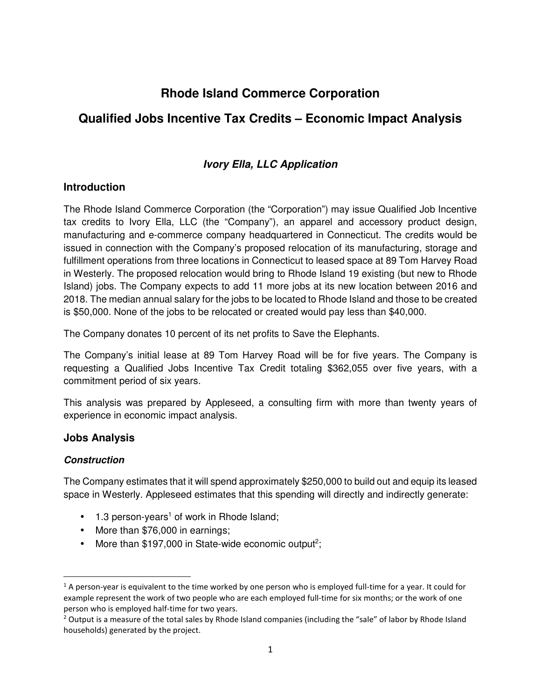# **Rhode Island Commerce Corporation**

## **Qualified Jobs Incentive Tax Credits – Economic Impact Analysis**

## **Ivory Ella, LLC Application**

### **Introduction**

The Rhode Island Commerce Corporation (the "Corporation") may issue Qualified Job Incentive tax credits to Ivory Ella, LLC (the "Company"), an apparel and accessory product design, manufacturing and e-commerce company headquartered in Connecticut. The credits would be issued in connection with the Company's proposed relocation of its manufacturing, storage and fulfillment operations from three locations in Connecticut to leased space at 89 Tom Harvey Road in Westerly. The proposed relocation would bring to Rhode Island 19 existing (but new to Rhode Island) jobs. The Company expects to add 11 more jobs at its new location between 2016 and 2018. The median annual salary for the jobs to be located to Rhode Island and those to be created is \$50,000. None of the jobs to be relocated or created would pay less than \$40,000.

The Company donates 10 percent of its net profits to Save the Elephants.

The Company's initial lease at 89 Tom Harvey Road will be for five years. The Company is requesting a Qualified Jobs Incentive Tax Credit totaling \$362,055 over five years, with a commitment period of six years.

This analysis was prepared by Appleseed, a consulting firm with more than twenty years of experience in economic impact analysis.

## **Jobs Analysis**

#### **Construction**

 $\overline{a}$ 

The Company estimates that it will spend approximately \$250,000 to build out and equip its leased space in Westerly. Appleseed estimates that this spending will directly and indirectly generate:

- $\bullet$  1.3 person-years<sup>1</sup> of work in Rhode Island;
- More than \$76,000 in earnings;
- More than  $$197,000$  in State-wide economic output<sup>2</sup>;

<sup>&</sup>lt;sup>1</sup> A person-year is equivalent to the time worked by one person who is employed full-time for a year. It could for example represent the work of two people who are each employed full-time for six months; or the work of one person who is employed half-time for two years.

<sup>&</sup>lt;sup>2</sup> Output is a measure of the total sales by Rhode Island companies (including the "sale" of labor by Rhode Island households) generated by the project.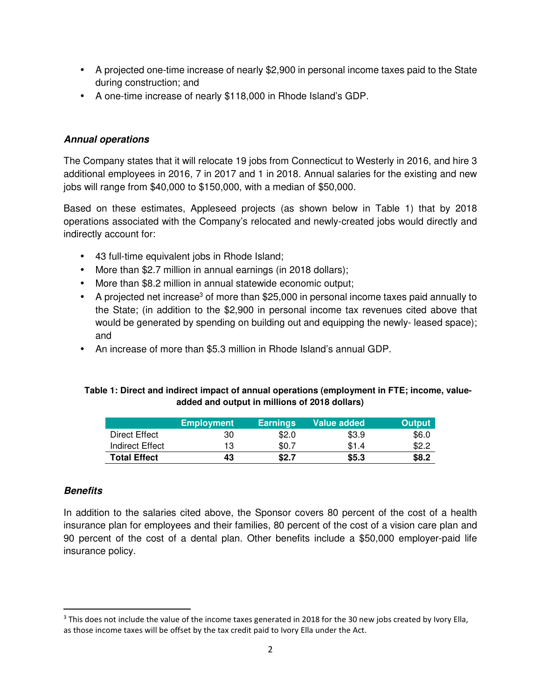- A projected one-time increase of nearly \$2,900 in personal income taxes paid to the State during construction; and
- A one-time increase of nearly \$118,000 in Rhode Island's GDP.

#### **Annual operations**

The Company states that it will relocate 19 jobs from Connecticut to Westerly in 2016, and hire 3 additional employees in 2016, 7 in 2017 and 1 in 2018. Annual salaries for the existing and new jobs will range from \$40,000 to \$150,000, with a median of \$50,000.

Based on these estimates, Appleseed projects (as shown below in Table 1) that by 2018 operations associated with the Company's relocated and newly-created jobs would directly and indirectly account for:

- 43 full-time equivalent jobs in Rhode Island;
- More than \$2.7 million in annual earnings (in 2018 dollars);
- More than \$8.2 million in annual statewide economic output;
- A projected net increase<sup>3</sup> of more than \$25,000 in personal income taxes paid annually to the State; (in addition to the \$2,900 in personal income tax revenues cited above that would be generated by spending on building out and equipping the newly- leased space); and
- An increase of more than \$5.3 million in Rhode Island's annual GDP.

#### **Table 1: Direct and indirect impact of annual operations (employment in FTE; income, valueadded and output in millions of 2018 dollars)**

|                     | <b>Employment</b> | <b>Earnings</b> | Value added | <b>Output</b> |
|---------------------|-------------------|-----------------|-------------|---------------|
| Direct Effect       | 30                | \$2.0           | \$3.9       | \$6.0         |
| Indirect Effect     | 13                | \$0.7           | \$1.4       | \$2.2         |
| <b>Total Effect</b> | 43                | \$2.7           | \$5.3       | \$8.2         |

#### **Benefits**

<u>.</u>

In addition to the salaries cited above, the Sponsor covers 80 percent of the cost of a health insurance plan for employees and their families, 80 percent of the cost of a vision care plan and 90 percent of the cost of a dental plan. Other benefits include a \$50,000 employer-paid life insurance policy.

<sup>&</sup>lt;sup>3</sup> This does not include the value of the income taxes generated in 2018 for the 30 new jobs created by Ivory Ella, as those income taxes will be offset by the tax credit paid to Ivory Ella under the Act.